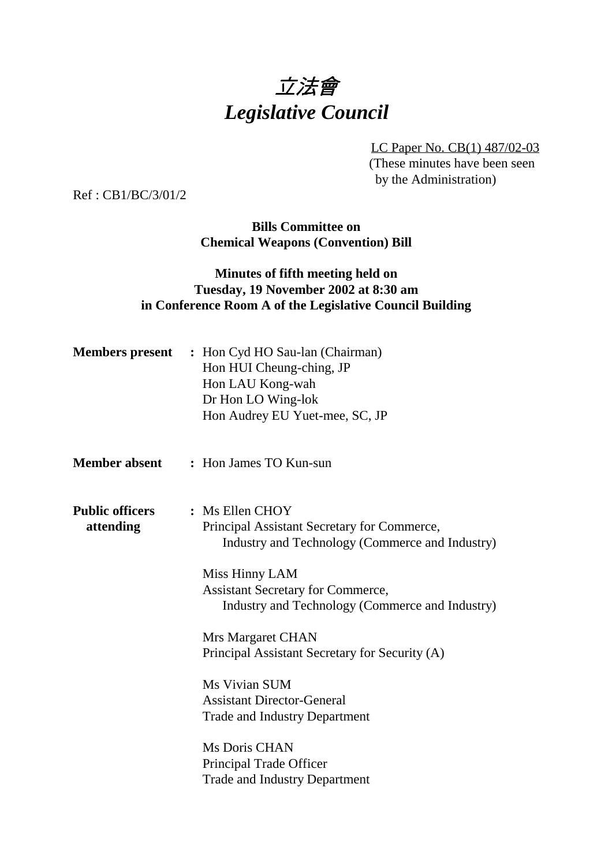# 立法會 *Legislative Council*

LC Paper No. CB(1) 487/02-03 (These minutes have been seen by the Administration)

Ref : CB1/BC/3/01/2

**Bills Committee on Chemical Weapons (Convention) Bill**

#### **Minutes of fifth meeting held on Tuesday, 19 November 2002 at 8:30 am in Conference Room A of the Legislative Council Building**

|                                     | <b>Members present</b> : Hon Cyd HO Sau-lan (Chairman)<br>Hon HUI Cheung-ching, JP<br>Hon LAU Kong-wah<br>Dr Hon LO Wing-lok<br>Hon Audrey EU Yuet-mee, SC, JP |
|-------------------------------------|----------------------------------------------------------------------------------------------------------------------------------------------------------------|
| <b>Member absent</b>                | : Hon James TO Kun-sun                                                                                                                                         |
| <b>Public officers</b><br>attending | : Ms Ellen CHOY<br>Principal Assistant Secretary for Commerce,<br>Industry and Technology (Commerce and Industry)                                              |
|                                     | Miss Hinny LAM<br><b>Assistant Secretary for Commerce,</b><br>Industry and Technology (Commerce and Industry)                                                  |
|                                     | Mrs Margaret CHAN                                                                                                                                              |
|                                     | Principal Assistant Secretary for Security (A)                                                                                                                 |
|                                     | Ms Vivian SUM                                                                                                                                                  |
|                                     | <b>Assistant Director-General</b>                                                                                                                              |
|                                     | <b>Trade and Industry Department</b>                                                                                                                           |
|                                     | Ms Doris CHAN                                                                                                                                                  |
|                                     | Principal Trade Officer                                                                                                                                        |
|                                     | <b>Trade and Industry Department</b>                                                                                                                           |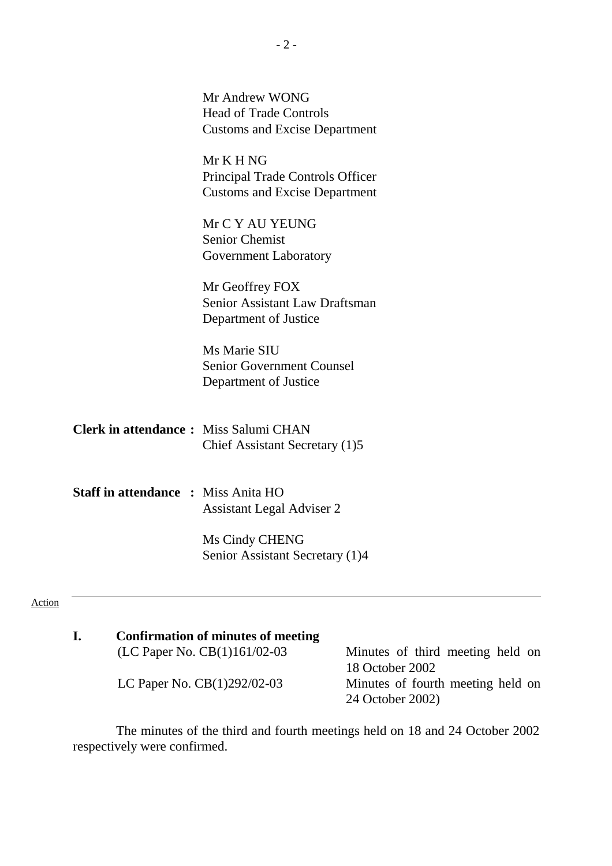|        |                                              | Mr Andrew WONG<br><b>Head of Trade Controls</b><br><b>Customs and Excise Department</b> |
|--------|----------------------------------------------|-----------------------------------------------------------------------------------------|
|        |                                              | Mr K H NG<br>Principal Trade Controls Officer<br><b>Customs and Excise Department</b>   |
|        |                                              | Mr C Y AU YEUNG<br><b>Senior Chemist</b><br>Government Laboratory                       |
|        |                                              | Mr Geoffrey FOX<br>Senior Assistant Law Draftsman<br>Department of Justice              |
|        |                                              | Ms Marie SIU<br><b>Senior Government Counsel</b><br>Department of Justice               |
|        | <b>Clerk in attendance:</b> Miss Salumi CHAN | Chief Assistant Secretary (1)5                                                          |
|        | <b>Staff in attendance : Miss Anita HO</b>   | <b>Assistant Legal Adviser 2</b>                                                        |
|        |                                              | Ms Cindy CHENG<br>Senior Assistant Secretary (1)4                                       |
| Action |                                              |                                                                                         |

| Confirmation of minutes of meeting |                                     |
|------------------------------------|-------------------------------------|
| (LC Paper No. $CB(1)161/02-03$     | — Minutes of third meeting held on  |
|                                    | 18 October 2002                     |
| LC Paper No. $CB(1)292/02-03$      | — Minutes of fourth meeting held on |
|                                    | 24 October 2002)                    |

The minutes of the third and fourth meetings held on 18 and 24 October 2002 respectively were confirmed.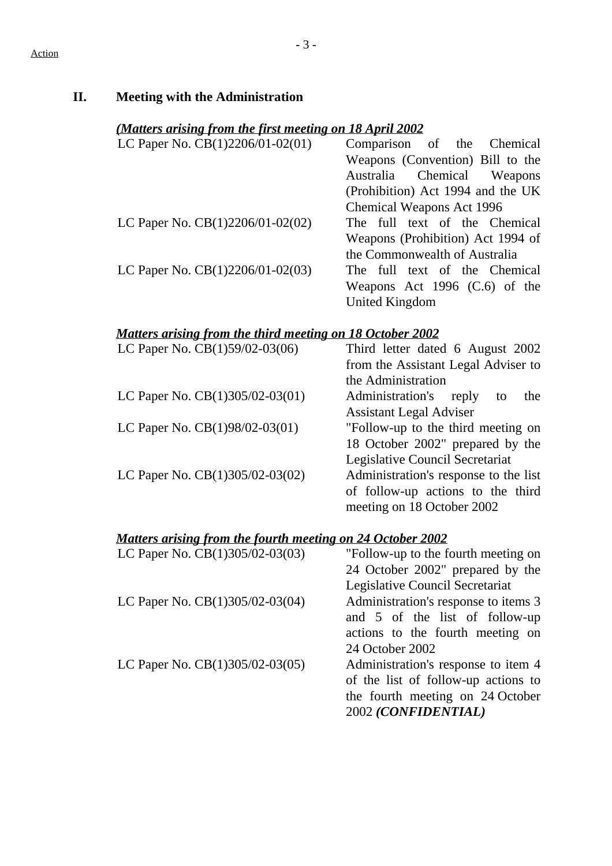| (Matters arising from the first meeting on 18 April 2002         |                                                                                                                                                           |  |  |  |
|------------------------------------------------------------------|-----------------------------------------------------------------------------------------------------------------------------------------------------------|--|--|--|
| LC Paper No. $CB(1)2206/01-02(01)$ — Comparison of               | the<br>Chemical<br>Weapons (Convention) Bill to the<br>Chemical<br>Australia<br>Weapons<br>(Prohibition) Act 1994 and the UK<br>Chemical Weapons Act 1996 |  |  |  |
| LC Paper No. $CB(1)2206/01-02(02)$                               | The full text of the Chemical<br>Weapons (Prohibition) Act 1994 of<br>the Commonwealth of Australia                                                       |  |  |  |
| LC Paper No. $CB(1)2206/01-02(03)$ —                             | The full text of the Chemical<br>Weapons Act 1996 (C.6) of the<br><b>United Kingdom</b>                                                                   |  |  |  |
| <b>Matters arising from the third meeting on 18 October 2002</b> |                                                                                                                                                           |  |  |  |
| LC Paper No. CB(1)59/02-03(06)                                   | Third letter dated 6 August 2002<br>from the Assistant Legal Adviser to<br>the Administration                                                             |  |  |  |
| LC Paper No. CB(1)305/02-03(01)                                  | Administration's<br>the<br>reply<br>to<br><b>Assistant Legal Adviser</b>                                                                                  |  |  |  |
| LC Paper No. CB(1)98/02-03(01)                                   | "Follow-up to the third meeting on<br>18 October 2002" prepared by the<br>Legislative Council Secretariat                                                 |  |  |  |
| LC Paper No. CB(1)305/02-03(02)                                  | Administration's response to the list<br>of follow-up actions to the third                                                                                |  |  |  |

#### LC Paper No.  $CB(1)305/02-03(03)$  - "Follow-up to the fourth meeting on 24 October 2002" prepared by the Legislative Council Secretariat

- LC Paper No.  $CB(1)305/02-03(04)$  Administration's response to items 3 and 5 of the list of follow-up actions to the fourth meeting on 24 October 2002
- LC Paper No.  $CB(1)305/02-03(05)$  Administration's response to item 4 of the list of follow-up actions to the fourth meeting on 24 October 2002 *(CONFIDENTIAL)*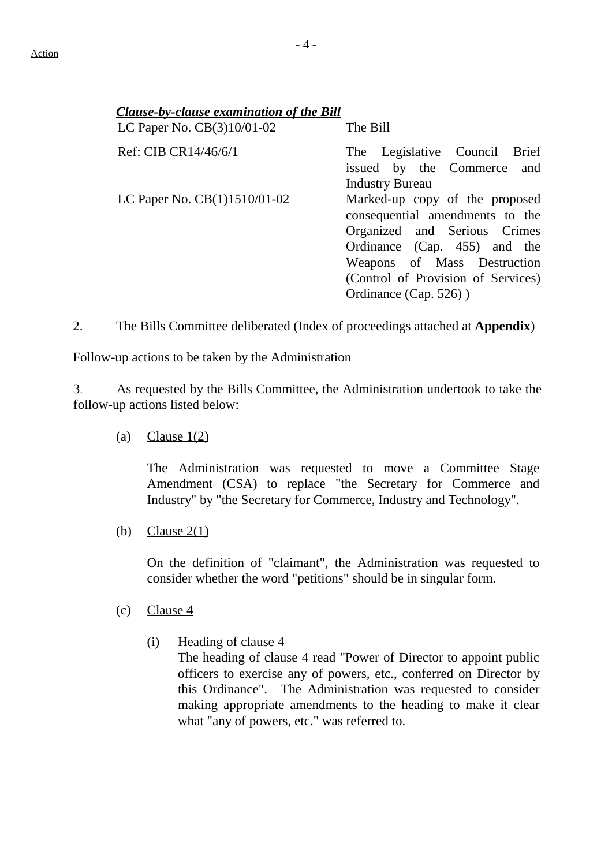| <b>Clause-by-clause examination of the Bill</b><br>LC Paper No. CB(3)10/01-02 | $\overline{\phantom{a}}$ The Bill                                                                                                                                                                                                 |
|-------------------------------------------------------------------------------|-----------------------------------------------------------------------------------------------------------------------------------------------------------------------------------------------------------------------------------|
| Ref: CIB CR14/46/6/1                                                          | — The Legislative Council Brief<br>issued by the Commerce and<br><b>Industry Bureau</b>                                                                                                                                           |
| LC Paper No. $CB(1)1510/01-02$                                                | — Marked-up copy of the proposed<br>consequential amendments to the<br>Organized and Serious Crimes<br>Ordinance (Cap. 455) and the<br>Weapons of Mass Destruction<br>(Control of Provision of Services)<br>Ordinance (Cap. 526)) |

2. The Bills Committee deliberated (Index of proceedings attached at **Appendix**)

#### Follow-up actions to be taken by the Administration

3. As requested by the Bills Committee, the Administration undertook to take the follow-up actions listed below:

(a) Clause  $1(2)$ 

The Administration was requested to move a Committee Stage Amendment (CSA) to replace "the Secretary for Commerce and Industry" by "the Secretary for Commerce, Industry and Technology".

(b) Clause  $2(1)$ 

On the definition of "claimant", the Administration was requested to consider whether the word "petitions" should be in singular form.

- (c) Clause 4
	- (i) Heading of clause 4

The heading of clause 4 read "Power of Director to appoint public officers to exercise any of powers, etc., conferred on Director by this Ordinance". The Administration was requested to consider making appropriate amendments to the heading to make it clear what "any of powers, etc." was referred to.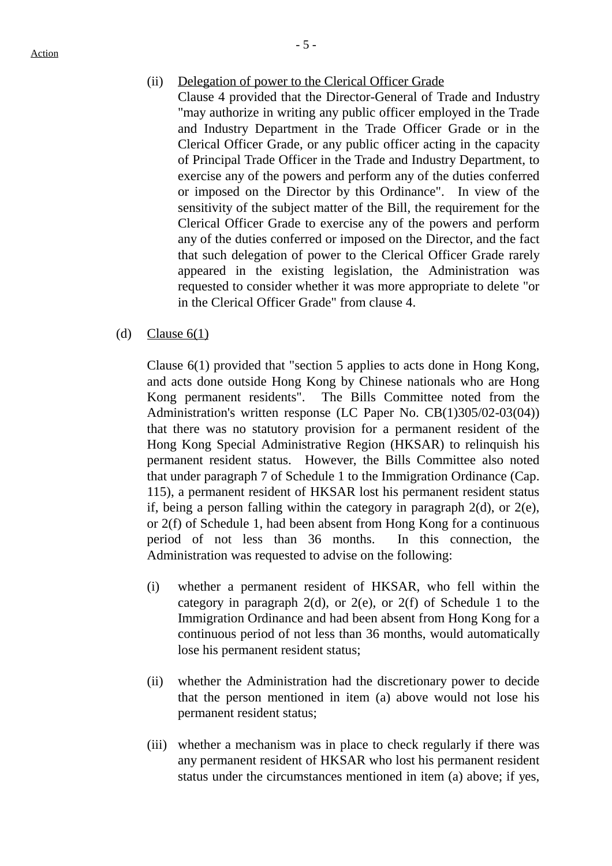Action

#### (ii) Delegation of power to the Clerical Officer Grade

- Clause 4 provided that the Director-General of Trade and Industry "may authorize in writing any public officer employed in the Trade and Industry Department in the Trade Officer Grade or in the Clerical Officer Grade, or any public officer acting in the capacity of Principal Trade Officer in the Trade and Industry Department, to exercise any of the powers and perform any of the duties conferred or imposed on the Director by this Ordinance". In view of the sensitivity of the subject matter of the Bill, the requirement for the Clerical Officer Grade to exercise any of the powers and perform any of the duties conferred or imposed on the Director, and the fact that such delegation of power to the Clerical Officer Grade rarely appeared in the existing legislation, the Administration was requested to consider whether it was more appropriate to delete "or in the Clerical Officer Grade" from clause 4.
- (d) Clause  $6(1)$

Clause 6(1) provided that "section 5 applies to acts done in Hong Kong, and acts done outside Hong Kong by Chinese nationals who are Hong Kong permanent residents". The Bills Committee noted from the Administration's written response (LC Paper No. CB(1)305/02-03(04)) that there was no statutory provision for a permanent resident of the Hong Kong Special Administrative Region (HKSAR) to relinquish his permanent resident status. However, the Bills Committee also noted that under paragraph 7 of Schedule 1 to the Immigration Ordinance (Cap. 115), a permanent resident of HKSAR lost his permanent resident status if, being a person falling within the category in paragraph 2(d), or 2(e), or 2(f) of Schedule 1, had been absent from Hong Kong for a continuous period of not less than 36 months. In this connection, the Administration was requested to advise on the following:

- (i) whether a permanent resident of HKSAR, who fell within the category in paragraph  $2(d)$ , or  $2(e)$ , or  $2(f)$  of Schedule 1 to the Immigration Ordinance and had been absent from Hong Kong for a continuous period of not less than 36 months, would automatically lose his permanent resident status;
- (ii) whether the Administration had the discretionary power to decide that the person mentioned in item (a) above would not lose his permanent resident status;
- (iii) whether a mechanism was in place to check regularly if there was any permanent resident of HKSAR who lost his permanent resident status under the circumstances mentioned in item (a) above; if yes,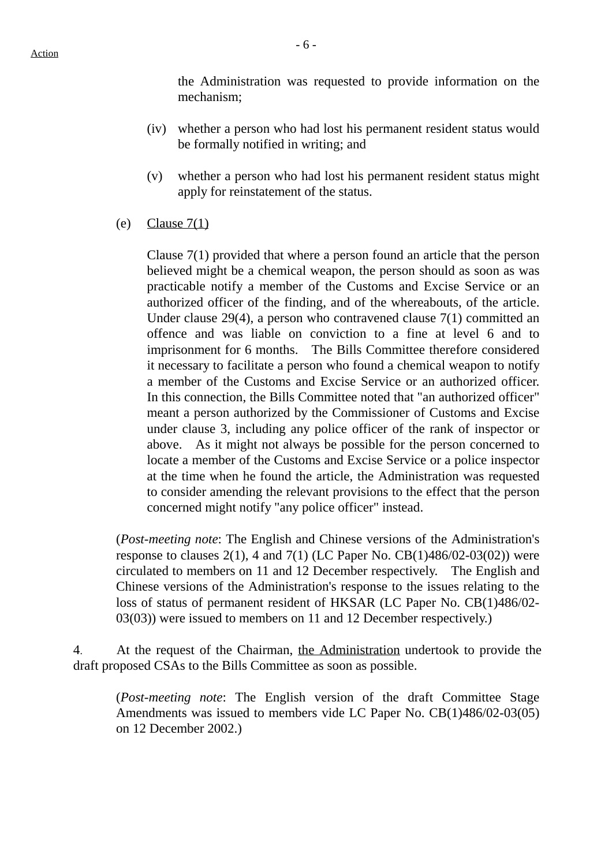the Administration was requested to provide information on the mechanism;

- (iv) whether a person who had lost his permanent resident status would be formally notified in writing; and
- (v) whether a person who had lost his permanent resident status might apply for reinstatement of the status.
- (e) Clause  $7(1)$

Clause 7(1) provided that where a person found an article that the person believed might be a chemical weapon, the person should as soon as was practicable notify a member of the Customs and Excise Service or an authorized officer of the finding, and of the whereabouts, of the article. Under clause 29(4), a person who contravened clause 7(1) committed an offence and was liable on conviction to a fine at level 6 and to imprisonment for 6 months. The Bills Committee therefore considered it necessary to facilitate a person who found a chemical weapon to notify a member of the Customs and Excise Service or an authorized officer. In this connection, the Bills Committee noted that "an authorized officer" meant a person authorized by the Commissioner of Customs and Excise under clause 3, including any police officer of the rank of inspector or above. As it might not always be possible for the person concerned to locate a member of the Customs and Excise Service or a police inspector at the time when he found the article, the Administration was requested to consider amending the relevant provisions to the effect that the person concerned might notify "any police officer" instead.

(*Post-meeting note*: The English and Chinese versions of the Administration's response to clauses  $2(1)$ , 4 and  $7(1)$  (LC Paper No. CB $(1)486/02-03(02)$ ) were circulated to members on 11 and 12 December respectively. The English and Chinese versions of the Administration's response to the issues relating to the loss of status of permanent resident of HKSAR (LC Paper No. CB(1)486/02- 03(03)) were issued to members on 11 and 12 December respectively.)

4. At the request of the Chairman, the Administration undertook to provide the draft proposed CSAs to the Bills Committee as soon as possible.

(*Post-meeting note*: The English version of the draft Committee Stage Amendments was issued to members vide LC Paper No. CB(1)486/02-03(05) on 12 December 2002.)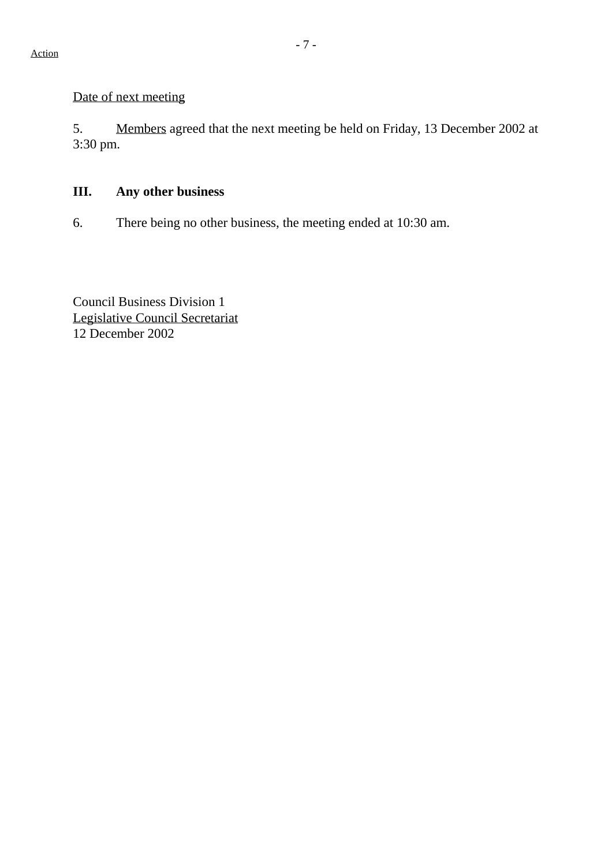#### Date of next meeting

5. Members agreed that the next meeting be held on Friday, 13 December 2002 at 3:30 pm.

## **III. Any other business**

6. There being no other business, the meeting ended at 10:30 am.

Council Business Division 1 Legislative Council Secretariat 12 December 2002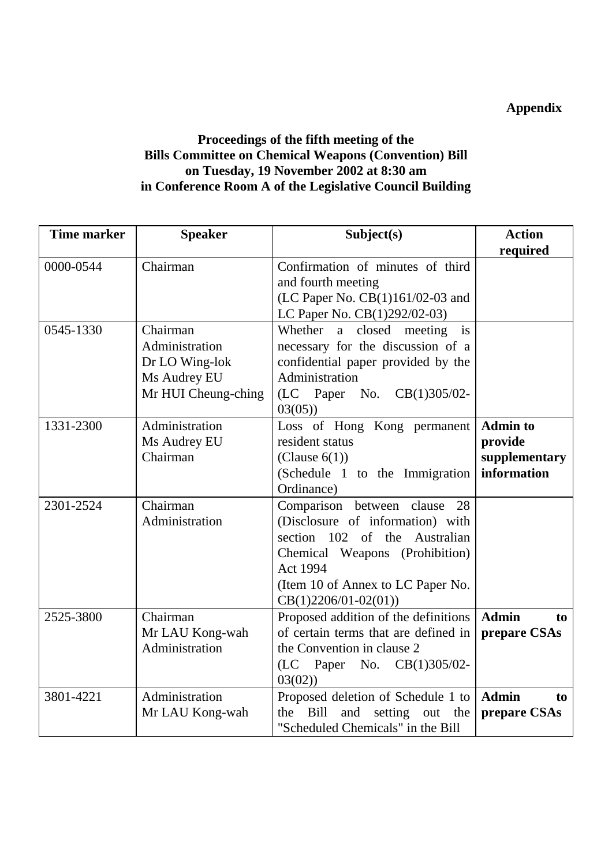### **Appendix**

### **Proceedings of the fifth meeting of the Bills Committee on Chemical Weapons (Convention) Bill on Tuesday, 19 November 2002 at 8:30 am in Conference Room A of the Legislative Council Building**

| <b>Time marker</b> | <b>Speaker</b>                                                                      | Subject(s)                                                                                                                                                                                                                  | <b>Action</b><br>required                                  |
|--------------------|-------------------------------------------------------------------------------------|-----------------------------------------------------------------------------------------------------------------------------------------------------------------------------------------------------------------------------|------------------------------------------------------------|
| 0000-0544          | Chairman                                                                            | Confirmation of minutes of third<br>and fourth meeting<br>(LC Paper No. CB(1)161/02-03 and<br>LC Paper No. CB(1)292/02-03)                                                                                                  |                                                            |
| 0545-1330          | Chairman<br>Administration<br>Dr LO Wing-lok<br>Ms Audrey EU<br>Mr HUI Cheung-ching | Whether<br>closed<br>meeting<br>a<br>is<br>necessary for the discussion of a<br>confidential paper provided by the<br>Administration<br>(LC Paper No.<br>$CB(1)305/02-$<br>03(05)                                           |                                                            |
| 1331-2300          | Administration<br>Ms Audrey EU<br>Chairman                                          | Loss of Hong Kong permanent<br>resident status<br>(Clause $6(1)$ )<br>(Schedule 1 to the Immigration<br>Ordinance)                                                                                                          | <b>Admin to</b><br>provide<br>supplementary<br>information |
| 2301-2524          | Chairman<br>Administration                                                          | Comparison between clause<br>28<br>(Disclosure of information) with<br>section 102 of the<br>Australian<br>Chemical Weapons (Prohibition)<br><b>Act 1994</b><br>(Item 10 of Annex to LC Paper No.<br>$CB(1)2206/01-02(01))$ |                                                            |
| 2525-3800          | Chairman<br>Mr LAU Kong-wah<br>Administration                                       | Proposed addition of the definitions<br>of certain terms that are defined in<br>the Convention in clause 2<br>(LC)<br>Paper<br>No.<br>$CB(1)305/02-$<br>03(02)                                                              | <b>Admin</b><br>to<br>prepare CSAs                         |
| 3801-4221          | Administration<br>Mr LAU Kong-wah                                                   | Proposed deletion of Schedule 1 to<br>Bill<br>and<br>setting<br>the<br>out<br>the<br>"Scheduled Chemicals" in the Bill                                                                                                      | <b>Admin</b><br>to<br>prepare CSAs                         |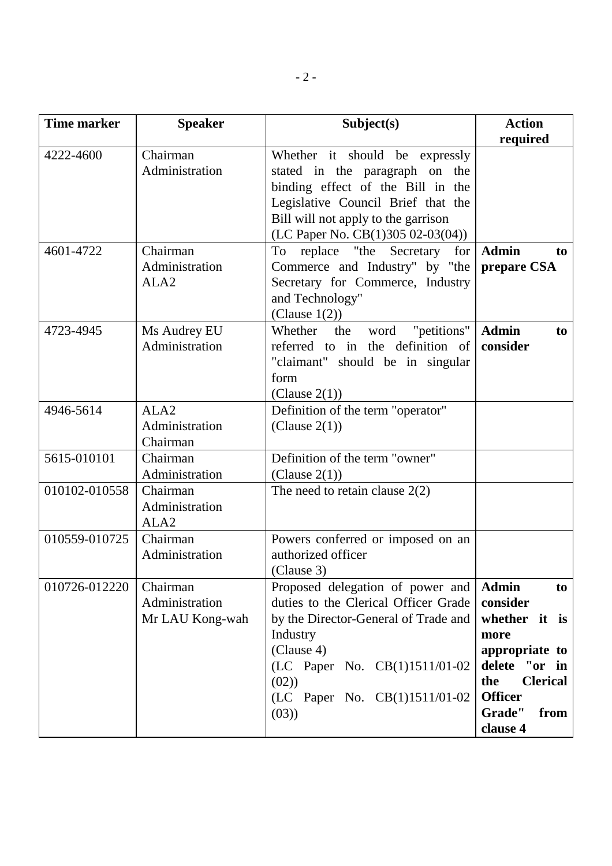| <b>Time marker</b> | <b>Speaker</b>                                 | Subject(s)                                                                                                                                                                                                                   | <b>Action</b>                                                                                                                                                        |
|--------------------|------------------------------------------------|------------------------------------------------------------------------------------------------------------------------------------------------------------------------------------------------------------------------------|----------------------------------------------------------------------------------------------------------------------------------------------------------------------|
|                    |                                                |                                                                                                                                                                                                                              | required                                                                                                                                                             |
| 4222-4600          | Chairman<br>Administration                     | Whether it should be expressly<br>stated in the paragraph on the<br>binding effect of the Bill in the<br>Legislative Council Brief that the<br>Bill will not apply to the garrison<br>(LC Paper No. CB $(1)305 02-03(04))$   |                                                                                                                                                                      |
| 4601-4722          | Chairman<br>Administration<br>ALA <sub>2</sub> | replace "the Secretary<br>To<br>for<br>Commerce and Industry" by "the<br>Secretary for Commerce, Industry<br>and Technology"<br>(Clause $1(2)$ )                                                                             | <b>Admin</b><br>to<br>prepare CSA                                                                                                                                    |
| 4723-4945          | Ms Audrey EU<br>Administration                 | "petitions"<br>Whether<br>the<br>word<br>referred to in the definition of<br>"claimant" should be in singular<br>form<br>(Clause 2(1))                                                                                       | <b>Admin</b><br>to<br>consider                                                                                                                                       |
| 4946-5614          | ALA <sub>2</sub><br>Administration<br>Chairman | Definition of the term "operator"<br>(Clause $2(1)$ )                                                                                                                                                                        |                                                                                                                                                                      |
| 5615-010101        | Chairman<br>Administration                     | Definition of the term "owner"<br>(Clause $2(1)$ )                                                                                                                                                                           |                                                                                                                                                                      |
| 010102-010558      | Chairman<br>Administration<br>ALA <sub>2</sub> | The need to retain clause $2(2)$                                                                                                                                                                                             |                                                                                                                                                                      |
| 010559-010725      | Chairman<br>Administration                     | Powers conferred or imposed on an<br>authorized officer<br>(Clause 3)                                                                                                                                                        |                                                                                                                                                                      |
| 010726-012220      | Chairman<br>Administration<br>Mr LAU Kong-wah  | Proposed delegation of power and<br>duties to the Clerical Officer Grade<br>by the Director-General of Trade and<br>Industry<br>(Clause 4)<br>(LC Paper No. CB(1)1511/01-02<br>(02)<br>(LC Paper No. CB(1)1511/01-02<br>(03) | <b>Admin</b><br>to<br>consider<br>whether it is<br>more<br>appropriate to<br>delete "or in<br><b>Clerical</b><br>the<br><b>Officer</b><br>Grade"<br>from<br>clause 4 |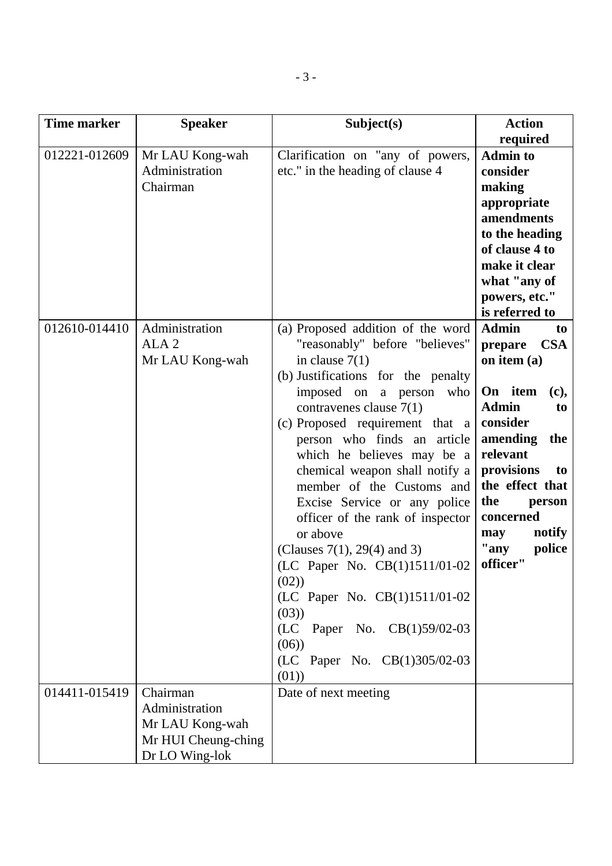| <b>Time marker</b> | <b>Speaker</b>                                                                         | Subject(s)                                                                                                                                                                                                                                                                                                                                                                                                                                                                                                                                                                                                                                        | <b>Action</b><br>required                                                                                                                                                                                                                                          |
|--------------------|----------------------------------------------------------------------------------------|---------------------------------------------------------------------------------------------------------------------------------------------------------------------------------------------------------------------------------------------------------------------------------------------------------------------------------------------------------------------------------------------------------------------------------------------------------------------------------------------------------------------------------------------------------------------------------------------------------------------------------------------------|--------------------------------------------------------------------------------------------------------------------------------------------------------------------------------------------------------------------------------------------------------------------|
| 012221-012609      | Mr LAU Kong-wah<br>Administration<br>Chairman                                          | Clarification on "any of powers,<br>etc." in the heading of clause 4                                                                                                                                                                                                                                                                                                                                                                                                                                                                                                                                                                              | <b>Admin to</b><br>consider<br>making<br>appropriate<br>amendments<br>to the heading<br>of clause 4 to<br>make it clear<br>what "any of<br>powers, etc."<br>is referred to                                                                                         |
| 012610-014410      | Administration<br>ALA <sub>2</sub><br>Mr LAU Kong-wah                                  | (a) Proposed addition of the word<br>"reasonably" before "believes"<br>in clause $7(1)$<br>(b) Justifications for the penalty<br>imposed on<br>a person<br>who<br>contravenes clause $7(1)$<br>(c) Proposed requirement that a<br>person who finds an article<br>which he believes may be a<br>chemical weapon shall notify a<br>member of the Customs and<br>Excise Service or any police<br>officer of the rank of inspector<br>or above<br>(Clauses $7(1)$ , 29(4) and 3)<br>(LC Paper No. CB(1)1511/01-02<br>(02)<br>(LC Paper No. CB(1)1511/01-02<br>(03)<br>(LC)<br>Paper No. CB(1)59/02-03<br>(06)<br>(LC Paper No. CB(1)305/02-03<br>(01) | <b>Admin</b><br>to<br><b>CSA</b><br>prepare<br>on item (a)<br>On item<br>(c),<br><b>Admin</b><br>to<br>consider<br>amending<br>the<br>relevant<br>provisions<br>to<br>the effect that<br>the<br>person<br>concerned<br>notify<br>may<br>"any<br>police<br>officer" |
| 014411-015419      | Chairman<br>Administration<br>Mr LAU Kong-wah<br>Mr HUI Cheung-ching<br>Dr LO Wing-lok | Date of next meeting                                                                                                                                                                                                                                                                                                                                                                                                                                                                                                                                                                                                                              |                                                                                                                                                                                                                                                                    |